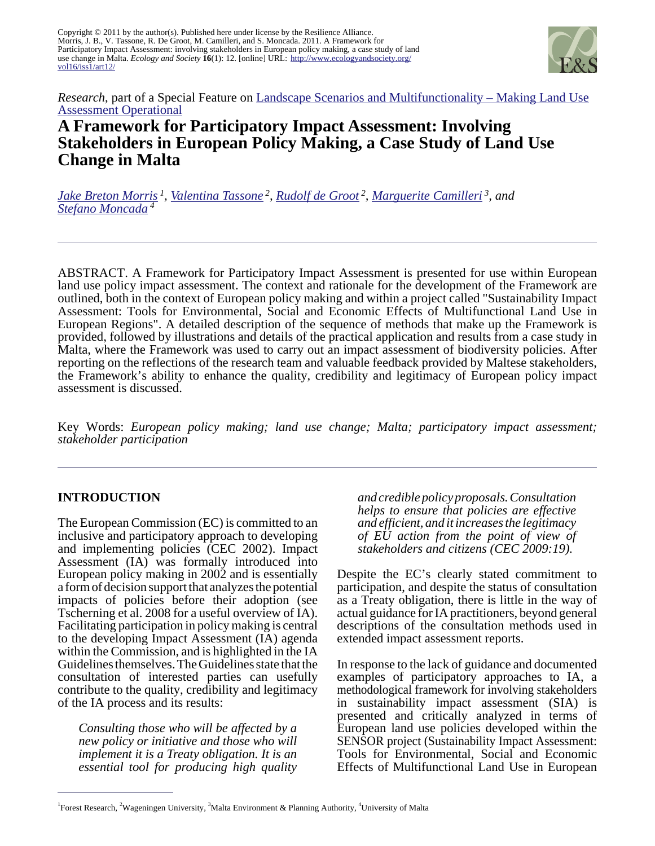Copyright © 2011 by the author(s). Published here under license by the Resilience Alliance. Morris, J. B., V. Tassone, R. De Groot, M. Camilleri, and S. Moncada. 2011. A Framework for Participatory Impact Assessment: involving stakeholders in European policy making, a case study of land use change in Malta. *Ecology and Society* **16**(1): 12. [online] URL: [http://www.ecologyandsociety.org/](http://www.ecologyandsociety.org/vol16/iss1/art12/) [vol16/iss1/art12/](http://www.ecologyandsociety.org/vol16/iss1/art12/)



*Research*, part of a Special Feature on [Landscape Scenarios and Multifunctionality – Making Land Use](http://www.ecologyandsociety.org/viewissue.php?sf=45) [Assessment Operational](http://www.ecologyandsociety.org/viewissue.php?sf=45)

# **A Framework for Participatory Impact Assessment: Involving Stakeholders in European Policy Making, a Case Study of Land Use Change in Malta**

*[Jake Breton Morris](mailto:jake.morris@forestry.gsi.gov.uk)<sup>1</sup> , [Valentina Tassone](mailto:Valentina.Tassone@wur.nl)<sup>2</sup> , [Rudolf de Groot](mailto:Dolf.deGroot@wur.nl)<sup>2</sup> , [Marguerite Camilleri](mailto:Marguerite.Camilleri@mepa.org.mt)<sup>3</sup>, and [Stefano Moncada](mailto:stefano.moncada@um.edu.mt)<sup>4</sup>*

ABSTRACT. A Framework for Participatory Impact Assessment is presented for use within European land use policy impact assessment. The context and rationale for the development of the Framework are outlined, both in the context of European policy making and within a project called "Sustainability Impact Assessment: Tools for Environmental, Social and Economic Effects of Multifunctional Land Use in European Regions". A detailed description of the sequence of methods that make up the Framework is provided, followed by illustrations and details of the practical application and results from a case study in Malta, where the Framework was used to carry out an impact assessment of biodiversity policies. After reporting on the reflections of the research team and valuable feedback provided by Maltese stakeholders, the Framework's ability to enhance the quality, credibility and legitimacy of European policy impact assessment is discussed.

Key Words: *European policy making; land use change; Malta; participatory impact assessment; stakeholder participation* 

# **INTRODUCTION**

The European Commission (EC) is committed to an inclusive and participatory approach to developing and implementing policies (CEC 2002). Impact Assessment (IA) was formally introduced into European policy making in 2002 and is essentially a form of decision support that analyzes the potential impacts of policies before their adoption (see Tscherning et al. 2008 for a useful overview of IA). Facilitating participation in policy making is central to the developing Impact Assessment (IA) agenda within the Commission, and is highlighted in the IA Guidelines themselves. The Guidelines state that the consultation of interested parties can usefully contribute to the quality, credibility and legitimacy of the IA process and its results:

*Consulting those who will be affected by a new policy or initiative and those who will implement it is a Treaty obligation. It is an essential tool for producing high quality* *and credible policy proposals. Consultation helps to ensure that policies are effective and efficient, and it increases the legitimacy of EU action from the point of view of stakeholders and citizens (CEC 2009:19).* 

Despite the EC's clearly stated commitment to participation, and despite the status of consultation as a Treaty obligation, there is little in the way of actual guidance for IA practitioners, beyond general descriptions of the consultation methods used in extended impact assessment reports.

In response to the lack of guidance and documented examples of participatory approaches to IA, a methodological framework for involving stakeholders in sustainability impact assessment (SIA) is presented and critically analyzed in terms of European land use policies developed within the SENSOR project (Sustainability Impact Assessment: Tools for Environmental, Social and Economic Effects of Multifunctional Land Use in European

<sup>&</sup>lt;sup>1</sup>Forest Research, <sup>2</sup>Wageningen University, <sup>3</sup>Malta Environment & Planning Authority, <sup>4</sup>University of Malta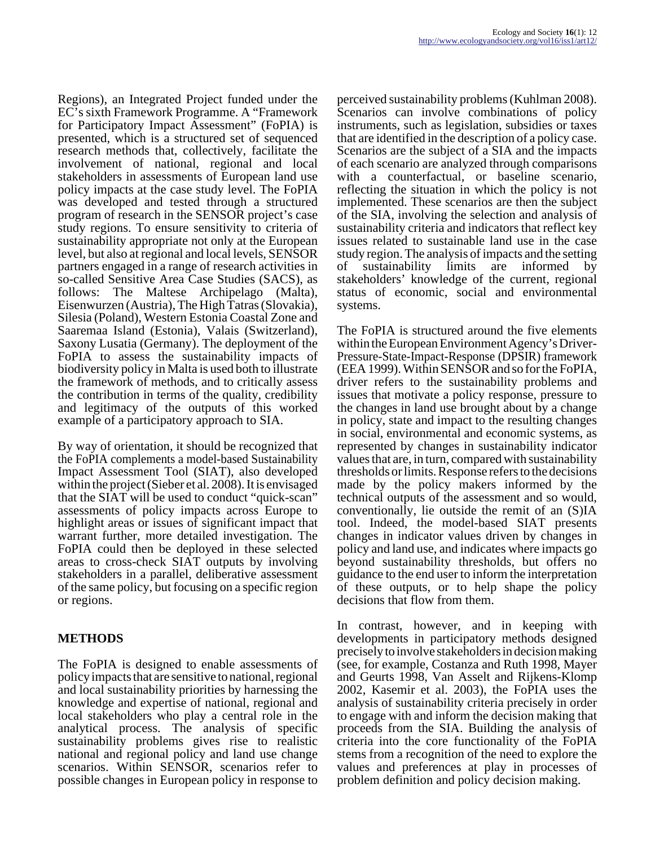Regions), an Integrated Project funded under the EC's sixth Framework Programme. A "Framework for Participatory Impact Assessment" (FoPIA) is presented, which is a structured set of sequenced research methods that, collectively, facilitate the involvement of national, regional and local stakeholders in assessments of European land use policy impacts at the case study level. The FoPIA was developed and tested through a structured program of research in the SENSOR project's case study regions. To ensure sensitivity to criteria of sustainability appropriate not only at the European level, but also at regional and local levels, SENSOR partners engaged in a range of research activities in so-called Sensitive Area Case Studies (SACS), as follows: The Maltese Archipelago (Malta), Eisenwurzen (Austria), The High Tatras (Slovakia), Silesia (Poland), Western Estonia Coastal Zone and Saaremaa Island (Estonia), Valais (Switzerland), Saxony Lusatia (Germany). The deployment of the FoPIA to assess the sustainability impacts of biodiversity policy in Malta is used both to illustrate the framework of methods, and to critically assess the contribution in terms of the quality, credibility and legitimacy of the outputs of this worked example of a participatory approach to SIA.

By way of orientation, it should be recognized that the FoPIA complements a model-based Sustainability Impact Assessment Tool (SIAT), also developed within the project (Sieber et al. 2008). It is envisaged that the SIAT will be used to conduct "quick-scan" assessments of policy impacts across Europe to highlight areas or issues of significant impact that warrant further, more detailed investigation. The FoPIA could then be deployed in these selected areas to cross-check SIAT outputs by involving stakeholders in a parallel, deliberative assessment of the same policy, but focusing on a specific region or regions.

### **METHODS**

The FoPIA is designed to enable assessments of policy impacts that are sensitive to national, regional and local sustainability priorities by harnessing the knowledge and expertise of national, regional and local stakeholders who play a central role in the analytical process. The analysis of specific sustainability problems gives rise to realistic national and regional policy and land use change scenarios. Within SENSOR, scenarios refer to possible changes in European policy in response to

perceived sustainability problems (Kuhlman 2008). Scenarios can involve combinations of policy instruments, such as legislation, subsidies or taxes that are identified in the description of a policy case. Scenarios are the subject of a SIA and the impacts of each scenario are analyzed through comparisons with a counterfactual, or baseline scenario, reflecting the situation in which the policy is not implemented. These scenarios are then the subject of the SIA, involving the selection and analysis of sustainability criteria and indicators that reflect key issues related to sustainable land use in the case study region. The analysis of impacts and the setting<br>of sustainability limits are informed by of sustainability limits are informed by stakeholders' knowledge of the current, regional status of economic, social and environmental systems.

The FoPIA is structured around the five elements within the European Environment Agency's Driver-Pressure-State-Impact-Response (DPSIR) framework (EEA 1999). Within SENSOR and so for the FoPIA, driver refers to the sustainability problems and issues that motivate a policy response, pressure to the changes in land use brought about by a change in policy, state and impact to the resulting changes in social, environmental and economic systems, as represented by changes in sustainability indicator values that are, in turn, compared with sustainability thresholds or limits. Response refers to the decisions made by the policy makers informed by the technical outputs of the assessment and so would, conventionally, lie outside the remit of an (S)IA tool. Indeed, the model-based SIAT presents changes in indicator values driven by changes in policy and land use, and indicates where impacts go beyond sustainability thresholds, but offers no guidance to the end user to inform the interpretation of these outputs, or to help shape the policy decisions that flow from them.

In contrast, however, and in keeping with developments in participatory methods designed precisely to involve stakeholders in decision making (see, for example, Costanza and Ruth 1998, Mayer and Geurts 1998, Van Asselt and Rijkens-Klomp 2002, Kasemir et al. 2003), the FoPIA uses the analysis of sustainability criteria precisely in order to engage with and inform the decision making that proceeds from the SIA. Building the analysis of criteria into the core functionality of the FoPIA stems from a recognition of the need to explore the values and preferences at play in processes of problem definition and policy decision making.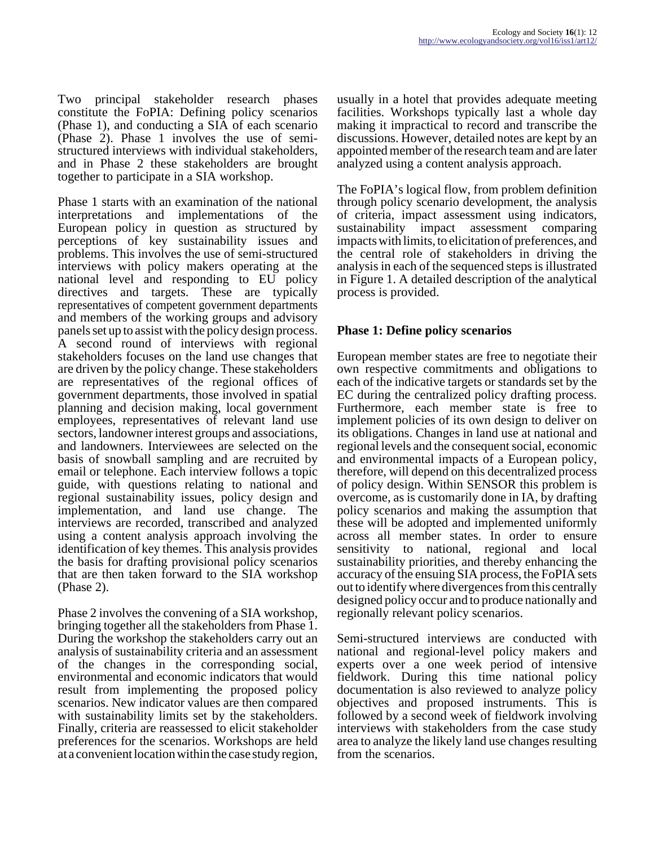Two principal stakeholder research phases constitute the FoPIA: Defining policy scenarios (Phase 1), and conducting a SIA of each scenario (Phase 2). Phase 1 involves the use of semistructured interviews with individual stakeholders, and in Phase 2 these stakeholders are brought together to participate in a SIA workshop.

Phase 1 starts with an examination of the national interpretations and implementations of the European policy in question as structured by perceptions of key sustainability issues and problems. This involves the use of semi-structured interviews with policy makers operating at the national level and responding to EU policy directives and targets. These are typically representatives of competent government departments and members of the working groups and advisory panels set up to assist with the policy design process. A second round of interviews with regional stakeholders focuses on the land use changes that are driven by the policy change. These stakeholders are representatives of the regional offices of government departments, those involved in spatial planning and decision making, local government employees, representatives of relevant land use sectors, landowner interest groups and associations, and landowners. Interviewees are selected on the basis of snowball sampling and are recruited by email or telephone. Each interview follows a topic guide, with questions relating to national and regional sustainability issues, policy design and implementation, and land use change. The interviews are recorded, transcribed and analyzed using a content analysis approach involving the identification of key themes. This analysis provides the basis for drafting provisional policy scenarios that are then taken forward to the SIA workshop (Phase 2).

Phase 2 involves the convening of a SIA workshop, bringing together all the stakeholders from Phase 1. During the workshop the stakeholders carry out an analysis of sustainability criteria and an assessment of the changes in the corresponding social, environmental and economic indicators that would result from implementing the proposed policy scenarios. New indicator values are then compared with sustainability limits set by the stakeholders. Finally, criteria are reassessed to elicit stakeholder preferences for the scenarios. Workshops are held at a convenient location within the case study region,

usually in a hotel that provides adequate meeting facilities. Workshops typically last a whole day making it impractical to record and transcribe the discussions. However, detailed notes are kept by an appointed member of the research team and are later analyzed using a content analysis approach.

The FoPIA's logical flow, from problem definition through policy scenario development, the analysis of criteria, impact assessment using indicators, sustainability impact assessment comparing impacts with limits, to elicitation of preferences, and the central role of stakeholders in driving the analysis in each of the sequenced steps is illustrated in Figure 1. A detailed description of the analytical process is provided.

### **Phase 1: Define policy scenarios**

European member states are free to negotiate their own respective commitments and obligations to each of the indicative targets or standards set by the EC during the centralized policy drafting process. Furthermore, each member state is free to implement policies of its own design to deliver on its obligations. Changes in land use at national and regional levels and the consequent social, economic and environmental impacts of a European policy, therefore, will depend on this decentralized process of policy design. Within SENSOR this problem is overcome, as is customarily done in IA, by drafting policy scenarios and making the assumption that these will be adopted and implemented uniformly across all member states. In order to ensure sensitivity to national, regional and local sustainability priorities, and thereby enhancing the accuracy of the ensuing SIA process, the FoPIA sets out to identify where divergences from this centrally designed policy occur and to produce nationally and regionally relevant policy scenarios.

Semi-structured interviews are conducted with national and regional-level policy makers and experts over a one week period of intensive fieldwork. During this time national policy documentation is also reviewed to analyze policy objectives and proposed instruments. This is followed by a second week of fieldwork involving interviews with stakeholders from the case study area to analyze the likely land use changes resulting from the scenarios.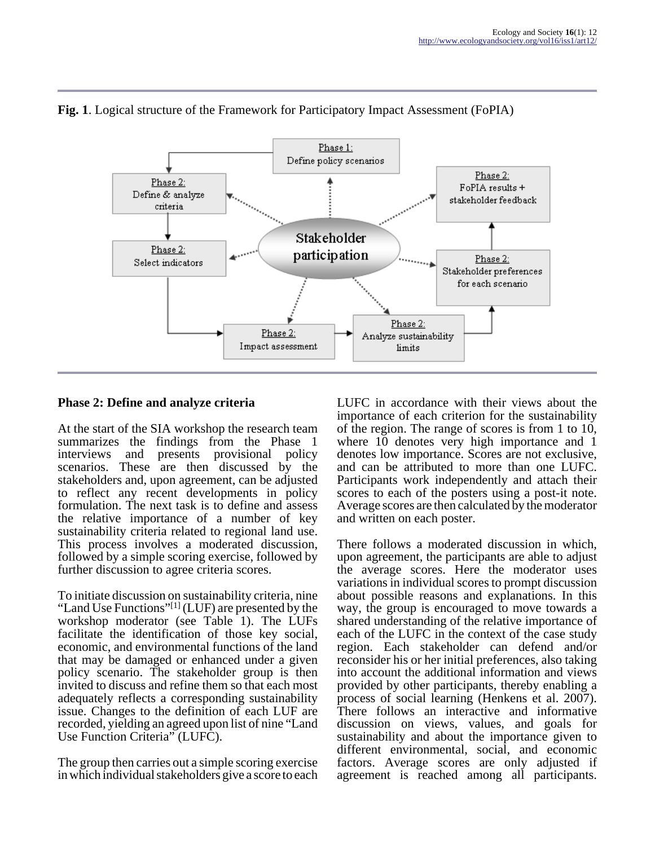

# **Fig. 1**. Logical structure of the Framework for Participatory Impact Assessment (FoPIA)

### **Phase 2: Define and analyze criteria**

At the start of the SIA workshop the research team summarizes the findings from the Phase 1 interviews and presents provisional policy scenarios. These are then discussed by the stakeholders and, upon agreement, can be adjusted to reflect any recent developments in policy formulation. The next task is to define and assess the relative importance of a number of key sustainability criteria related to regional land use. This process involves a moderated discussion, followed by a simple scoring exercise, followed by further discussion to agree criteria scores.

To initiate discussion on sustainability criteria, nine "Land Use Functions"<sup>[1]</sup> (LUF) are presented by the workshop moderator (see Table 1). The LUFs facilitate the identification of those key social, economic, and environmental functions of the land that may be damaged or enhanced under a given policy scenario. The stakeholder group is then invited to discuss and refine them so that each most adequately reflects a corresponding sustainability issue. Changes to the definition of each LUF are recorded, yielding an agreed upon list of nine "Land Use Function Criteria" (LUFC).

The group then carries out a simple scoring exercise in which individual stakeholders give a score to each

LUFC in accordance with their views about the importance of each criterion for the sustainability of the region. The range of scores is from 1 to 10, where 10 denotes very high importance and 1 denotes low importance. Scores are not exclusive, and can be attributed to more than one LUFC. Participants work independently and attach their scores to each of the posters using a post-it note. Average scores are then calculated by the moderator and written on each poster.

There follows a moderated discussion in which, upon agreement, the participants are able to adjust the average scores. Here the moderator uses variations in individual scores to prompt discussion about possible reasons and explanations. In this way, the group is encouraged to move towards a shared understanding of the relative importance of each of the LUFC in the context of the case study region. Each stakeholder can defend and/or reconsider his or her initial preferences, also taking into account the additional information and views provided by other participants, thereby enabling a process of social learning (Henkens et al. 2007). There follows an interactive and informative discussion on views, values, and goals for sustainability and about the importance given to different environmental, social, and economic factors. Average scores are only adjusted if agreement is reached among all participants.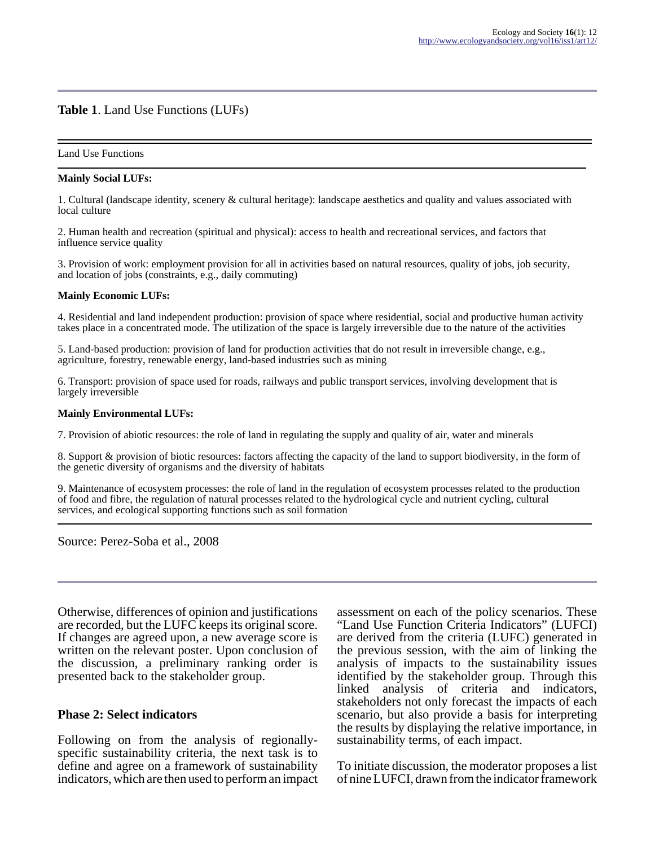#### **Table 1**. Land Use Functions (LUFs)

#### Land Use Functions

#### **Mainly Social LUFs:**

1. Cultural (landscape identity, scenery & cultural heritage): landscape aesthetics and quality and values associated with local culture

2. Human health and recreation (spiritual and physical): access to health and recreational services, and factors that influence service quality

3. Provision of work: employment provision for all in activities based on natural resources, quality of jobs, job security, and location of jobs (constraints, e.g., daily commuting)

#### **Mainly Economic LUFs:**

4. Residential and land independent production: provision of space where residential, social and productive human activity takes place in a concentrated mode. The utilization of the space is largely irreversible due to the nature of the activities

5. Land-based production: provision of land for production activities that do not result in irreversible change, e.g., agriculture, forestry, renewable energy, land-based industries such as mining

6. Transport: provision of space used for roads, railways and public transport services, involving development that is largely irreversible

#### **Mainly Environmental LUFs:**

7. Provision of abiotic resources: the role of land in regulating the supply and quality of air, water and minerals

8. Support & provision of biotic resources: factors affecting the capacity of the land to support biodiversity, in the form of the genetic diversity of organisms and the diversity of habitats

9. Maintenance of ecosystem processes: the role of land in the regulation of ecosystem processes related to the production of food and fibre, the regulation of natural processes related to the hydrological cycle and nutrient cycling, cultural services, and ecological supporting functions such as soil formation

Source: Perez-Soba et al., 2008

Otherwise, differences of opinion and justifications are recorded, but the LUFC keeps its original score. If changes are agreed upon, a new average score is written on the relevant poster. Upon conclusion of the discussion, a preliminary ranking order is presented back to the stakeholder group.

#### **Phase 2: Select indicators**

Following on from the analysis of regionallyspecific sustainability criteria, the next task is to define and agree on a framework of sustainability indicators, which are then used to perform an impact assessment on each of the policy scenarios. These "Land Use Function Criteria Indicators" (LUFCI) are derived from the criteria (LUFC) generated in the previous session, with the aim of linking the analysis of impacts to the sustainability issues identified by the stakeholder group. Through this linked analysis of criteria and indicators, stakeholders not only forecast the impacts of each scenario, but also provide a basis for interpreting the results by displaying the relative importance, in sustainability terms, of each impact.

To initiate discussion, the moderator proposes a list of nine LUFCI, drawn from the indicator framework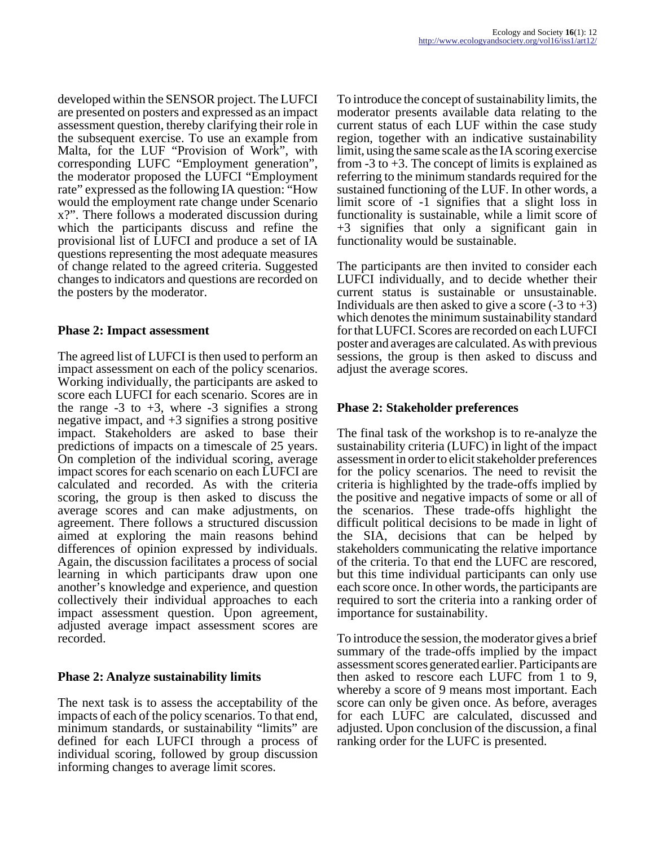developed within the SENSOR project. The LUFCI are presented on posters and expressed as an impact assessment question, thereby clarifying their role in the subsequent exercise. To use an example from Malta, for the LUF "Provision of Work", with corresponding LUFC "Employment generation", the moderator proposed the LUFCI "Employment rate" expressed as the following IA question: "How would the employment rate change under Scenario x?". There follows a moderated discussion during which the participants discuss and refine the provisional list of LUFCI and produce a set of IA questions representing the most adequate measures of change related to the agreed criteria. Suggested changes to indicators and questions are recorded on the posters by the moderator.

### **Phase 2: Impact assessment**

The agreed list of LUFCI is then used to perform an impact assessment on each of the policy scenarios. Working individually, the participants are asked to score each LUFCI for each scenario. Scores are in the range  $-3$  to  $+3$ , where  $-3$  signifies a strong negative impact, and  $+3$  signifies a strong positive impact. Stakeholders are asked to base their predictions of impacts on a timescale of 25 years. On completion of the individual scoring, average impact scores for each scenario on each LUFCI are calculated and recorded. As with the criteria scoring, the group is then asked to discuss the average scores and can make adjustments, on agreement. There follows a structured discussion aimed at exploring the main reasons behind differences of opinion expressed by individuals. Again, the discussion facilitates a process of social learning in which participants draw upon one another's knowledge and experience, and question collectively their individual approaches to each impact assessment question. Upon agreement, adjusted average impact assessment scores are recorded.

# **Phase 2: Analyze sustainability limits**

The next task is to assess the acceptability of the impacts of each of the policy scenarios. To that end, minimum standards, or sustainability "limits" are defined for each LUFCI through a process of individual scoring, followed by group discussion informing changes to average limit scores.

To introduce the concept of sustainability limits, the moderator presents available data relating to the current status of each LUF within the case study region, together with an indicative sustainability limit, using the same scale as the IA scoring exercise from  $-3$  to  $+3$ . The concept of limits is explained as referring to the minimum standards required for the sustained functioning of the LUF. In other words, a limit score of -1 signifies that a slight loss in functionality is sustainable, while a limit score of +3 signifies that only a significant gain in functionality would be sustainable.

The participants are then invited to consider each LUFCI individually, and to decide whether their current status is sustainable or unsustainable. Individuals are then asked to give a score  $(-3 \text{ to } +3)$ which denotes the minimum sustainability standard for that LUFCI. Scores are recorded on each LUFCI poster and averages are calculated. As with previous sessions, the group is then asked to discuss and adjust the average scores.

# **Phase 2: Stakeholder preferences**

The final task of the workshop is to re-analyze the sustainability criteria (LUFC) in light of the impact assessment in order to elicit stakeholder preferences for the policy scenarios. The need to revisit the criteria is highlighted by the trade-offs implied by the positive and negative impacts of some or all of the scenarios. These trade-offs highlight the difficult political decisions to be made in light of the SIA, decisions that can be helped by stakeholders communicating the relative importance of the criteria. To that end the LUFC are rescored, but this time individual participants can only use each score once. In other words, the participants are required to sort the criteria into a ranking order of importance for sustainability.

To introduce the session, the moderator gives a brief summary of the trade-offs implied by the impact assessment scores generated earlier. Participants are then asked to rescore each LUFC from 1 to 9, whereby a score of 9 means most important. Each score can only be given once. As before, averages for each LUFC are calculated, discussed and adjusted. Upon conclusion of the discussion, a final ranking order for the LUFC is presented.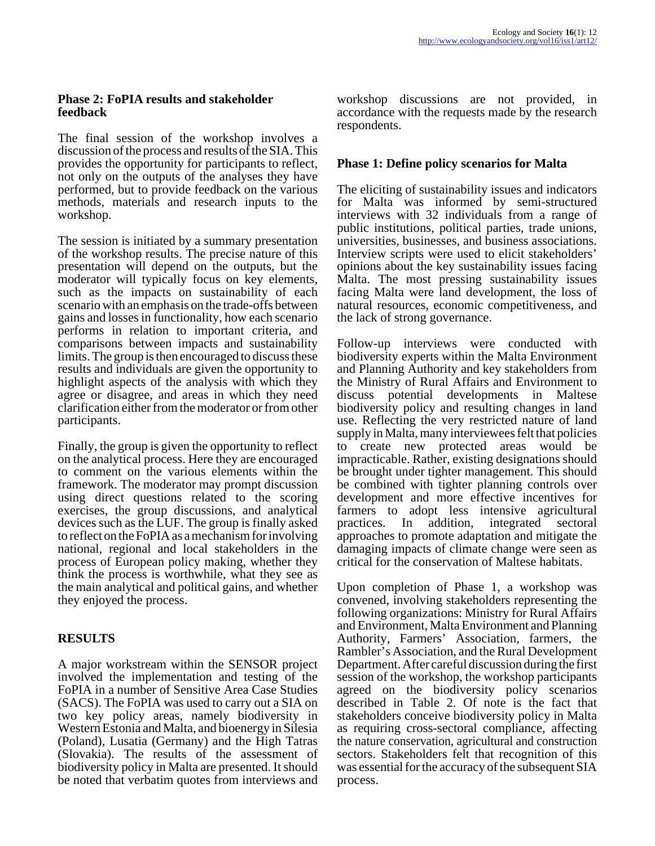#### **Phase 2: FoPIA results and stakeholder feedback**

The final session of the workshop involves a discussion of the process and results of the SIA. This provides the opportunity for participants to reflect, not only on the outputs of the analyses they have performed, but to provide feedback on the various methods, materials and research inputs to the workshop.

The session is initiated by a summary presentation of the workshop results. The precise nature of this presentation will depend on the outputs, but the moderator will typically focus on key elements, such as the impacts on sustainability of each scenario with an emphasis on the trade-offs between gains and losses in functionality, how each scenario performs in relation to important criteria, and comparisons between impacts and sustainability limits. The group is then encouraged to discuss these results and individuals are given the opportunity to highlight aspects of the analysis with which they agree or disagree, and areas in which they need clarification either from the moderator or from other participants.

Finally, the group is given the opportunity to reflect on the analytical process. Here they are encouraged to comment on the various elements within the framework. The moderator may prompt discussion using direct questions related to the scoring exercises, the group discussions, and analytical devices such as the LUF. The group is finally asked to reflect on the FoPIA as a mechanism for involving national, regional and local stakeholders in the process of European policy making, whether they think the process is worthwhile, what they see as the main analytical and political gains, and whether they enjoyed the process.

# **RESULTS**

A major workstream within the SENSOR project involved the implementation and testing of the FoPIA in a number of Sensitive Area Case Studies (SACS). The FoPIA was used to carry out a SIA on two key policy areas, namely biodiversity in Western Estonia and Malta, and bioenergy in Silesia (Poland), Lusatia (Germany) and the High Tatras (Slovakia). The results of the assessment of biodiversity policy in Malta are presented. It should be noted that verbatim quotes from interviews and

workshop discussions are not provided, in accordance with the requests made by the research respondents.

# **Phase 1: Define policy scenarios for Malta**

The eliciting of sustainability issues and indicators for Malta was informed by semi-structured interviews with 32 individuals from a range of public institutions, political parties, trade unions, universities, businesses, and business associations. Interview scripts were used to elicit stakeholders' opinions about the key sustainability issues facing Malta. The most pressing sustainability issues facing Malta were land development, the loss of natural resources, economic competitiveness, and the lack of strong governance.

Follow-up interviews were conducted with biodiversity experts within the Malta Environment and Planning Authority and key stakeholders from the Ministry of Rural Affairs and Environment to discuss potential developments in Maltese biodiversity policy and resulting changes in land use. Reflecting the very restricted nature of land supply in Malta, many interviewees felt that policies to create new protected areas would be impracticable. Rather, existing designations should be brought under tighter management. This should be combined with tighter planning controls over development and more effective incentives for farmers to adopt less intensive agricultural practices. In addition, integrated sectoral approaches to promote adaptation and mitigate the damaging impacts of climate change were seen as critical for the conservation of Maltese habitats.

Upon completion of Phase 1, a workshop was convened, involving stakeholders representing the following organizations: Ministry for Rural Affairs and Environment, Malta Environment and Planning Authority, Farmers' Association, farmers, the Rambler's Association, and the Rural Development Department. After careful discussion during the first session of the workshop, the workshop participants agreed on the biodiversity policy scenarios described in Table 2. Of note is the fact that stakeholders conceive biodiversity policy in Malta as requiring cross-sectoral compliance, affecting the nature conservation, agricultural and construction sectors. Stakeholders felt that recognition of this was essential for the accuracy of the subsequent SIA process.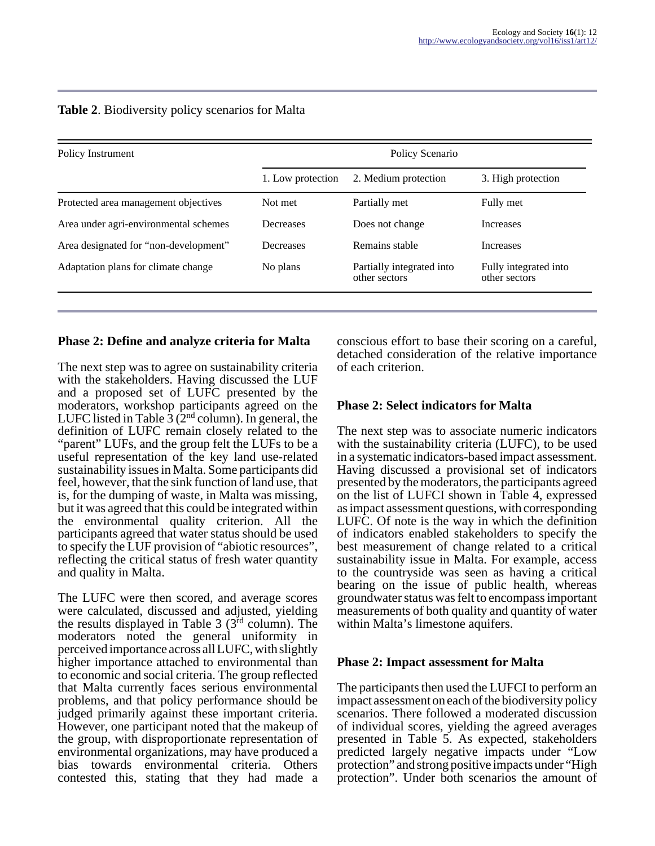| Policy Instrument                     | Policy Scenario   |                                            |                                        |
|---------------------------------------|-------------------|--------------------------------------------|----------------------------------------|
|                                       | 1. Low protection | 2. Medium protection                       | 3. High protection                     |
| Protected area management objectives  | Not met           | Partially met                              | Fully met                              |
| Area under agri-environmental schemes | Decreases         | Does not change                            | <b>Increases</b>                       |
| Area designated for "non-development" | Decreases         | Remains stable                             | <b>Increases</b>                       |
| Adaptation plans for climate change   | No plans          | Partially integrated into<br>other sectors | Fully integrated into<br>other sectors |

# **Table 2**. Biodiversity policy scenarios for Malta

#### **Phase 2: Define and analyze criteria for Malta**

The next step was to agree on sustainability criteria with the stakeholders. Having discussed the LUF and a proposed set of LUFC presented by the moderators, workshop participants agreed on the LUFC listed in Table  $\overline{3}$  ( $\overline{2}^{\text{nd}}$  column). In general, the definition of LUFC remain closely related to the "parent" LUFs, and the group felt the LUFs to be a useful representation of the key land use-related sustainability issues in Malta. Some participants did feel, however, that the sink function of land use, that is, for the dumping of waste, in Malta was missing, but it was agreed that this could be integrated within the environmental quality criterion. All the participants agreed that water status should be used to specify the LUF provision of "abiotic resources", reflecting the critical status of fresh water quantity and quality in Malta.

The LUFC were then scored, and average scores were calculated, discussed and adjusted, yielding the results displayed in Table 3  $(3<sup>rd</sup>$  column). The moderators noted the general uniformity in perceived importance across all LUFC, with slightly higher importance attached to environmental than to economic and social criteria. The group reflected that Malta currently faces serious environmental problems, and that policy performance should be judged primarily against these important criteria. However, one participant noted that the makeup of the group, with disproportionate representation of environmental organizations, may have produced a bias towards environmental criteria. Others contested this, stating that they had made a

conscious effort to base their scoring on a careful, detached consideration of the relative importance of each criterion.

#### **Phase 2: Select indicators for Malta**

The next step was to associate numeric indicators with the sustainability criteria (LUFC), to be used in a systematic indicators-based impact assessment. Having discussed a provisional set of indicators presented by the moderators, the participants agreed on the list of LUFCI shown in Table 4, expressed as impact assessment questions, with corresponding LUFC. Of note is the way in which the definition of indicators enabled stakeholders to specify the best measurement of change related to a critical sustainability issue in Malta. For example, access to the countryside was seen as having a critical bearing on the issue of public health, whereas groundwater status was felt to encompass important measurements of both quality and quantity of water within Malta's limestone aquifers.

#### **Phase 2: Impact assessment for Malta**

The participants then used the LUFCI to perform an impact assessment on each of the biodiversity policy scenarios. There followed a moderated discussion of individual scores, yielding the agreed averages presented in Table 5. As expected, stakeholders predicted largely negative impacts under "Low protection" and strong positive impacts under "High protection". Under both scenarios the amount of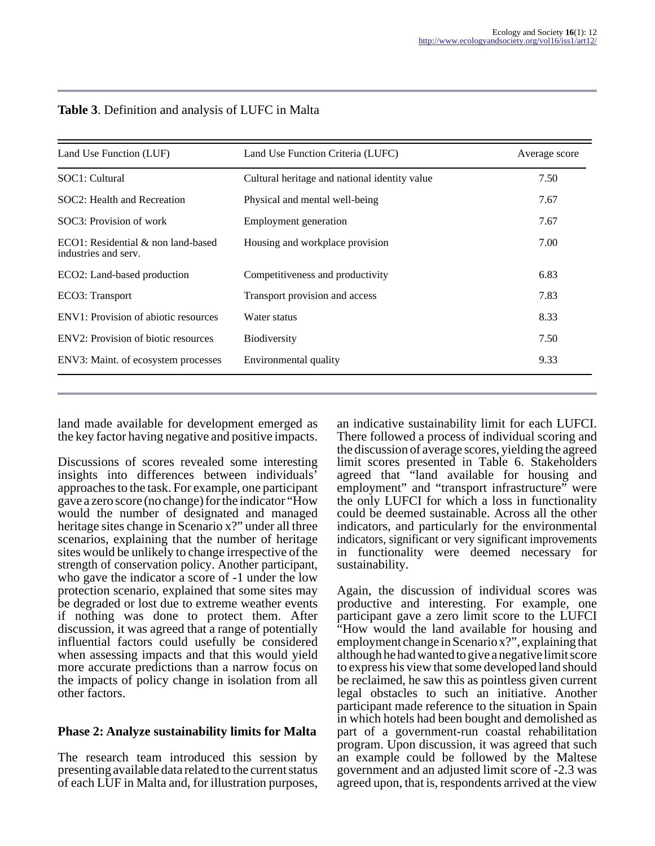| Land Use Function (LUF)                                          | Land Use Function Criteria (LUFC)             | Average score |
|------------------------------------------------------------------|-----------------------------------------------|---------------|
| SOC1: Cultural                                                   | Cultural heritage and national identity value | 7.50          |
| SOC2: Health and Recreation                                      | Physical and mental well-being                | 7.67          |
| SOC3: Provision of work                                          | Employment generation                         | 7.67          |
| $ECO1$ : Residential $\&$ non land-based<br>industries and serv. | Housing and workplace provision               | 7.00          |
| ECO2: Land-based production                                      | Competitiveness and productivity              | 6.83          |
| ECO3: Transport                                                  | Transport provision and access                | 7.83          |
| ENV1: Provision of abiotic resources                             | Water status                                  | 8.33          |
| ENV <sub>2</sub> : Provision of biotic resources                 | <b>Biodiversity</b>                           | 7.50          |
| ENV3: Maint. of ecosystem processes                              | Environmental quality                         | 9.33          |

# **Table 3**. Definition and analysis of LUFC in Malta

land made available for development emerged as the key factor having negative and positive impacts.

Discussions of scores revealed some interesting insights into differences between individuals' approaches to the task. For example, one participant gave a zero score (no change) for the indicator "How would the number of designated and managed heritage sites change in Scenario x?" under all three scenarios, explaining that the number of heritage sites would be unlikely to change irrespective of the strength of conservation policy. Another participant, who gave the indicator a score of -1 under the low protection scenario, explained that some sites may be degraded or lost due to extreme weather events if nothing was done to protect them. After discussion, it was agreed that a range of potentially influential factors could usefully be considered when assessing impacts and that this would yield more accurate predictions than a narrow focus on the impacts of policy change in isolation from all other factors.

### **Phase 2: Analyze sustainability limits for Malta**

The research team introduced this session by presenting available data related to the current status of each LUF in Malta and, for illustration purposes,

an indicative sustainability limit for each LUFCI. There followed a process of individual scoring and the discussion of average scores, yielding the agreed limit scores presented in Table 6. Stakeholders agreed that "land available for housing and employment" and "transport infrastructure" were the only LUFCI for which a loss in functionality could be deemed sustainable. Across all the other indicators, and particularly for the environmental indicators, significant or very significant improvements in functionality were deemed necessary for sustainability.

Again, the discussion of individual scores was productive and interesting. For example, one participant gave a zero limit score to the LUFCI "How would the land available for housing and employment change in Scenario x?", explaining that although he had wanted to give a negative limit score to express his view that some developed land should be reclaimed, he saw this as pointless given current legal obstacles to such an initiative. Another participant made reference to the situation in Spain in which hotels had been bought and demolished as part of a government-run coastal rehabilitation program. Upon discussion, it was agreed that such an example could be followed by the Maltese government and an adjusted limit score of -2.3 was agreed upon, that is, respondents arrived at the view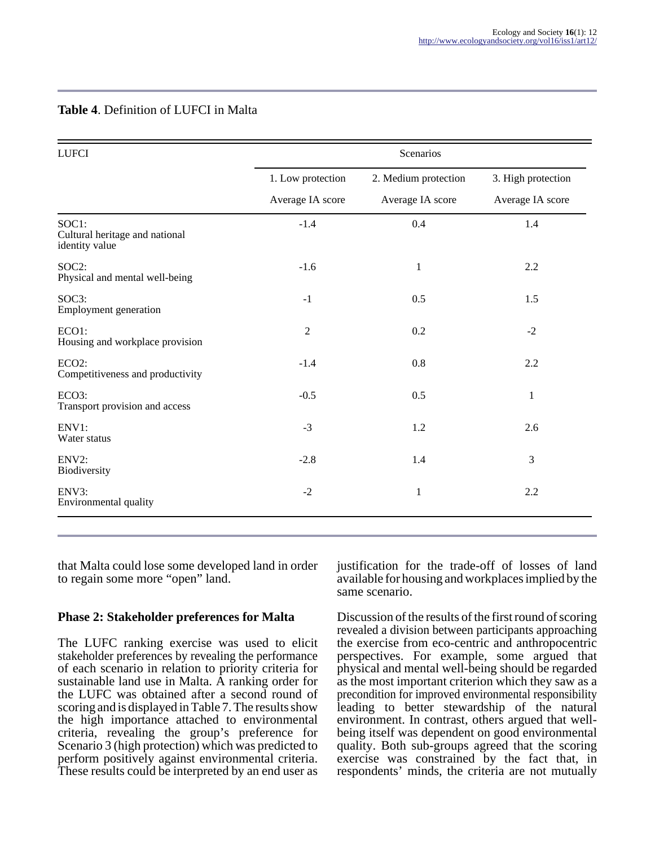# **Table 4**. Definition of LUFCI in Malta

| <b>LUFCI</b>                                              | Scenarios         |                      |                    |
|-----------------------------------------------------------|-------------------|----------------------|--------------------|
|                                                           | 1. Low protection | 2. Medium protection | 3. High protection |
|                                                           | Average IA score  | Average IA score     | Average IA score   |
| SOC1:<br>Cultural heritage and national<br>identity value | $-1.4$            | 0.4                  | 1.4                |
| SOC2:<br>Physical and mental well-being                   | $-1.6$            | $\mathbf{1}$         | 2.2                |
| SOC3:<br>Employment generation                            | $-1$              | 0.5                  | 1.5                |
| ECO1:<br>Housing and workplace provision                  | $\overline{2}$    | 0.2                  | $-2$               |
| ECO <sub>2</sub> :<br>Competitiveness and productivity    | $-1.4$            | 0.8                  | 2.2                |
| ECO3:<br>Transport provision and access                   | $-0.5$            | 0.5                  | $\mathbf{1}$       |
| ENV1:<br>Water status                                     | $-3$              | 1.2                  | 2.6                |
| ENV2:<br>Biodiversity                                     | $-2.8$            | 1.4                  | 3                  |
| ENV3:<br>Environmental quality                            | $-2$              | $\mathbf{1}$         | 2.2                |

that Malta could lose some developed land in order to regain some more "open" land.

#### **Phase 2: Stakeholder preferences for Malta**

The LUFC ranking exercise was used to elicit stakeholder preferences by revealing the performance of each scenario in relation to priority criteria for sustainable land use in Malta. A ranking order for the LUFC was obtained after a second round of scoring and is displayed in Table 7. The results show the high importance attached to environmental criteria, revealing the group's preference for Scenario 3 (high protection) which was predicted to perform positively against environmental criteria. These results could be interpreted by an end user as

justification for the trade-off of losses of land available for housing and workplaces implied by the same scenario.

Discussion of the results of the first round of scoring revealed a division between participants approaching the exercise from eco-centric and anthropocentric perspectives. For example, some argued that physical and mental well-being should be regarded as the most important criterion which they saw as a precondition for improved environmental responsibility leading to better stewardship of the natural environment. In contrast, others argued that wellbeing itself was dependent on good environmental quality. Both sub-groups agreed that the scoring exercise was constrained by the fact that, in respondents' minds, the criteria are not mutually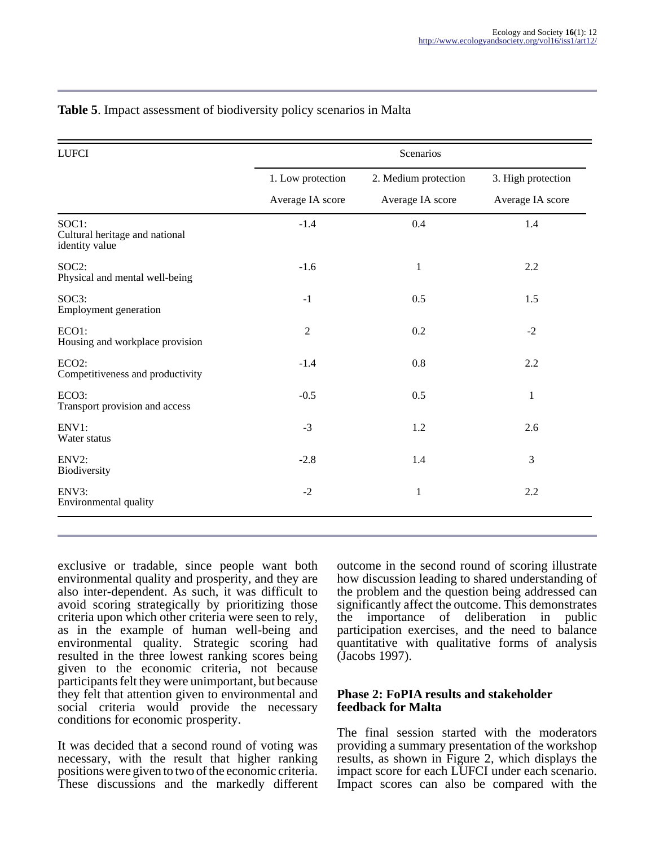| <b>LUFCI</b>                                              | Scenarios         |                      |                    |
|-----------------------------------------------------------|-------------------|----------------------|--------------------|
|                                                           | 1. Low protection | 2. Medium protection | 3. High protection |
|                                                           | Average IA score  | Average IA score     | Average IA score   |
| SOC1:<br>Cultural heritage and national<br>identity value | $-1.4$            | 0.4                  | 1.4                |
| SOC2:<br>Physical and mental well-being                   | $-1.6$            | $\mathbf{1}$         | 2.2                |
| SOC3:<br>Employment generation                            | $-1$              | 0.5                  | 1.5                |
| ECO1:<br>Housing and workplace provision                  | $\overline{2}$    | 0.2                  | $-2$               |
| ECO <sub>2</sub> :<br>Competitiveness and productivity    | $-1.4$            | 0.8                  | 2.2                |
| ECO3:<br>Transport provision and access                   | $-0.5$            | 0.5                  | 1                  |
| ENV1:<br>Water status                                     | $-3$              | 1.2                  | 2.6                |
| ENV2:<br>Biodiversity                                     | $-2.8$            | 1.4                  | 3                  |
| ENV3:<br>Environmental quality                            | $-2$              | $\mathbf{1}$         | 2.2                |

# **Table 5**. Impact assessment of biodiversity policy scenarios in Malta

exclusive or tradable, since people want both environmental quality and prosperity, and they are also inter-dependent. As such, it was difficult to avoid scoring strategically by prioritizing those criteria upon which other criteria were seen to rely, as in the example of human well-being and environmental quality. Strategic scoring had resulted in the three lowest ranking scores being given to the economic criteria, not because participants felt they were unimportant, but because they felt that attention given to environmental and social criteria would provide the necessary conditions for economic prosperity.

It was decided that a second round of voting was necessary, with the result that higher ranking positions were given to two of the economic criteria. These discussions and the markedly different

outcome in the second round of scoring illustrate how discussion leading to shared understanding of the problem and the question being addressed can significantly affect the outcome. This demonstrates the importance of deliberation in public participation exercises, and the need to balance quantitative with qualitative forms of analysis (Jacobs 1997).

#### **Phase 2: FoPIA results and stakeholder feedback for Malta**

The final session started with the moderators providing a summary presentation of the workshop results, as shown in Figure 2, which displays the impact score for each LUFCI under each scenario. Impact scores can also be compared with the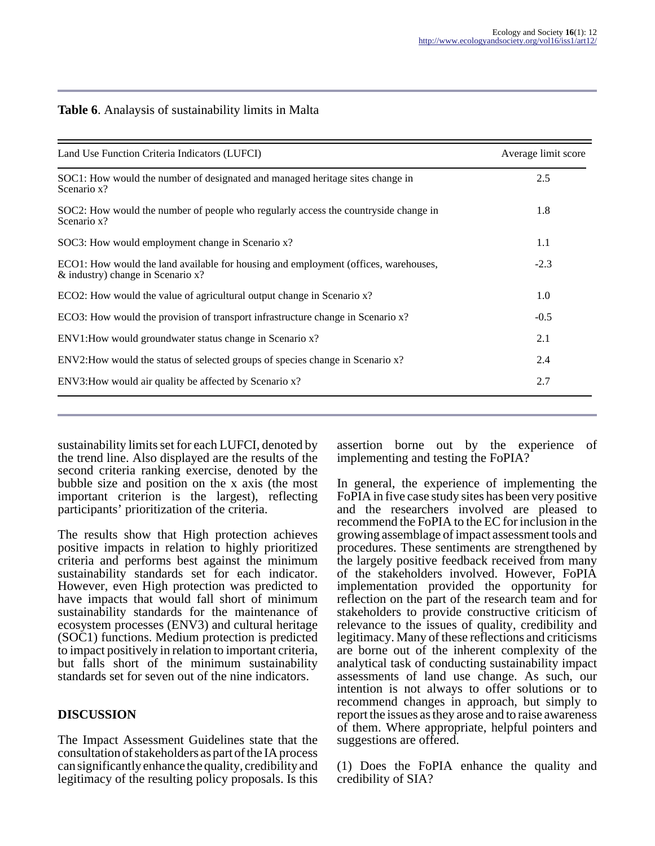#### **Table 6**. Analaysis of sustainability limits in Malta

| Land Use Function Criteria Indicators (LUFCI)                                                                               | Average limit score |
|-----------------------------------------------------------------------------------------------------------------------------|---------------------|
| SOC1: How would the number of designated and managed heritage sites change in<br>Scenario x?                                | 2.5                 |
| SOC2: How would the number of people who regularly access the countryside change in<br>Scenario x?                          | 1.8                 |
| SOC3: How would employment change in Scenario x?                                                                            | 1.1                 |
| ECO1: How would the land available for housing and employment (offices, warehouses,<br>$\&$ industry) change in Scenario x? | $-2.3$              |
| ECO2: How would the value of agricultural output change in Scenario x?                                                      | 1.0                 |
| ECO3: How would the provision of transport infrastructure change in Scenario x?                                             | $-0.5$              |
| ENV1: How would groundwater status change in Scenario x?                                                                    | 2.1                 |
| ENV2: How would the status of selected groups of species change in Scenario x?                                              | 2.4                 |
| ENV3: How would air quality be affected by Scenario x?                                                                      | 2.7                 |

sustainability limits set for each LUFCI, denoted by the trend line. Also displayed are the results of the second criteria ranking exercise, denoted by the bubble size and position on the x axis (the most important criterion is the largest), reflecting participants' prioritization of the criteria.

The results show that High protection achieves positive impacts in relation to highly prioritized criteria and performs best against the minimum sustainability standards set for each indicator. However, even High protection was predicted to have impacts that would fall short of minimum sustainability standards for the maintenance of ecosystem processes (ENV3) and cultural heritage (SOC1) functions. Medium protection is predicted to impact positively in relation to important criteria, but falls short of the minimum sustainability standards set for seven out of the nine indicators.

### **DISCUSSION**

The Impact Assessment Guidelines state that the consultation of stakeholders as part of the IA process can significantly enhance the quality, credibility and legitimacy of the resulting policy proposals. Is this

assertion borne out by the experience of implementing and testing the FoPIA?

In general, the experience of implementing the FoPIA in five case study sites has been very positive and the researchers involved are pleased to recommend the FoPIA to the EC for inclusion in the growing assemblage of impact assessment tools and procedures. These sentiments are strengthened by the largely positive feedback received from many of the stakeholders involved. However, FoPIA implementation provided the opportunity for reflection on the part of the research team and for stakeholders to provide constructive criticism of relevance to the issues of quality, credibility and legitimacy. Many of these reflections and criticisms are borne out of the inherent complexity of the analytical task of conducting sustainability impact assessments of land use change. As such, our intention is not always to offer solutions or to recommend changes in approach, but simply to report the issues as they arose and to raise awareness of them. Where appropriate, helpful pointers and suggestions are offered.

(1) Does the FoPIA enhance the quality and credibility of SIA?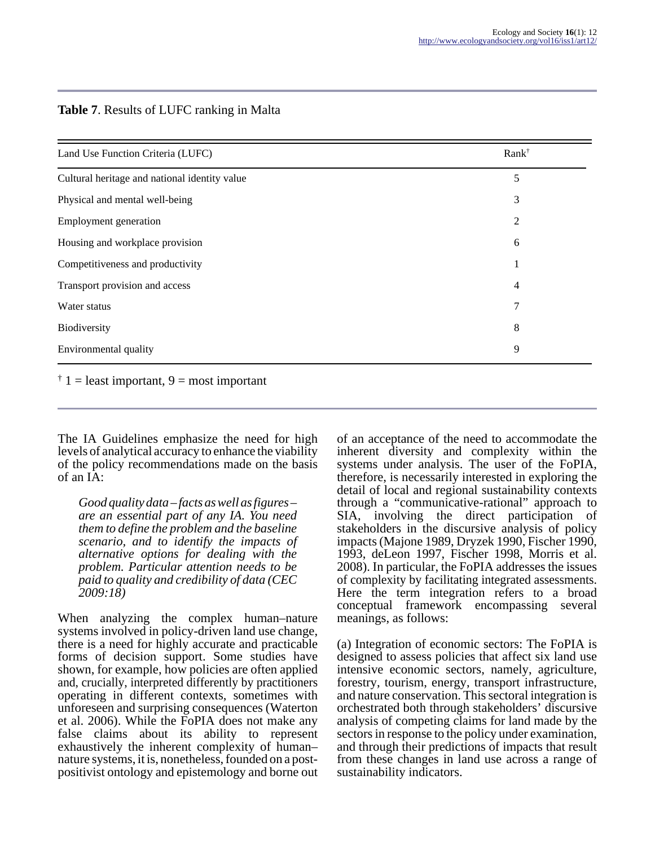#### **Table 7**. Results of LUFC ranking in Malta

| Land Use Function Criteria (LUFC)             | $Rank^{\dagger}$ |
|-----------------------------------------------|------------------|
| Cultural heritage and national identity value | 5                |
| Physical and mental well-being                | 3                |
| Employment generation                         | $\overline{2}$   |
| Housing and workplace provision               | 6                |
| Competitiveness and productivity              | л                |
| Transport provision and access                | 4                |
| Water status                                  | 7                |
| Biodiversity                                  | 8                |
| Environmental quality                         | 9                |

 $\dagger$  1 = least important, 9 = most important

The IA Guidelines emphasize the need for high levels of analytical accuracy to enhance the viability of the policy recommendations made on the basis of an IA:

*Good quality data – facts as well as figures – are an essential part of any IA. You need them to define the problem and the baseline scenario, and to identify the impacts of alternative options for dealing with the problem. Particular attention needs to be paid to quality and credibility of data (CEC 2009:18)*

When analyzing the complex human–nature systems involved in policy-driven land use change, there is a need for highly accurate and practicable forms of decision support. Some studies have shown, for example, how policies are often applied and, crucially, interpreted differently by practitioners operating in different contexts, sometimes with unforeseen and surprising consequences (Waterton et al. 2006). While the FoPIA does not make any false claims about its ability to represent exhaustively the inherent complexity of human– nature systems, it is, nonetheless, founded on a postpositivist ontology and epistemology and borne out

of an acceptance of the need to accommodate the inherent diversity and complexity within the systems under analysis. The user of the FoPIA, therefore, is necessarily interested in exploring the detail of local and regional sustainability contexts through a "communicative-rational" approach to SIA, involving the direct participation of stakeholders in the discursive analysis of policy impacts (Majone 1989, Dryzek 1990, Fischer 1990, 1993, deLeon 1997, Fischer 1998, Morris et al. 2008). In particular, the FoPIA addresses the issues of complexity by facilitating integrated assessments. Here the term integration refers to a broad conceptual framework encompassing several meanings, as follows:

(a) Integration of economic sectors: The FoPIA is designed to assess policies that affect six land use intensive economic sectors, namely, agriculture, forestry, tourism, energy, transport infrastructure, and nature conservation. This sectoral integration is orchestrated both through stakeholders' discursive analysis of competing claims for land made by the sectors in response to the policy under examination, and through their predictions of impacts that result from these changes in land use across a range of sustainability indicators.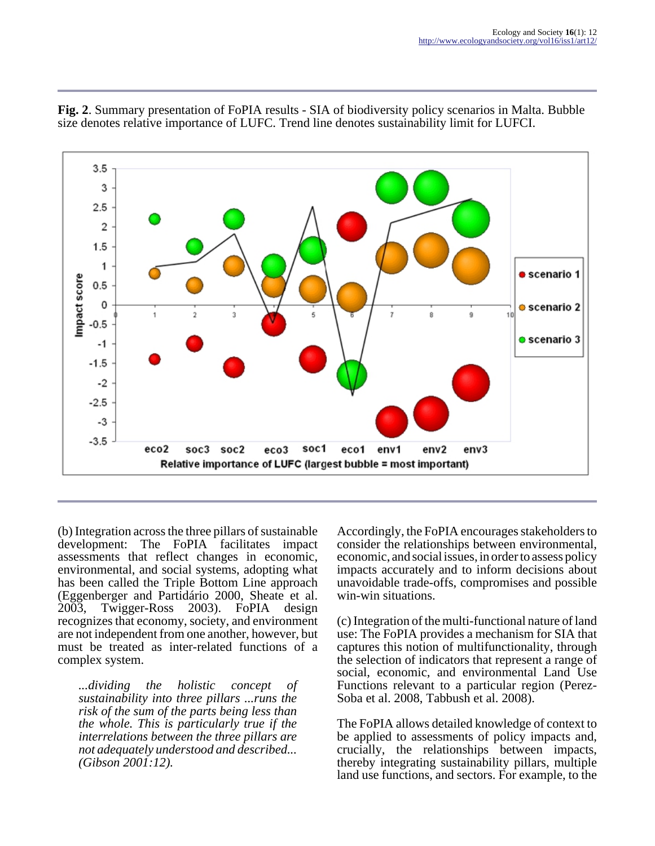

**Fig. 2**. Summary presentation of FoPIA results - SIA of biodiversity policy scenarios in Malta. Bubble size denotes relative importance of LUFC. Trend line denotes sustainability limit for LUFCI.

(b) Integration across the three pillars of sustainable development: The FoPIA facilitates impact assessments that reflect changes in economic, environmental, and social systems, adopting what has been called the Triple Bottom Line approach (Eggenberger and Partidário 2000, Sheate et al. 2003, Twigger-Ross 2003). FoPIA design recognizes that economy, society, and environment are not independent from one another, however, but must be treated as inter-related functions of a complex system.

*...dividing the holistic concept of sustainability into three pillars ...runs the risk of the sum of the parts being less than the whole. This is particularly true if the interrelations between the three pillars are not adequately understood and described... (Gibson 2001:12).*

Accordingly, the FoPIA encourages stakeholders to consider the relationships between environmental, economic, and social issues, in order to assess policy impacts accurately and to inform decisions about unavoidable trade-offs, compromises and possible win-win situations.

(c) Integration of the multi-functional nature of land use: The FoPIA provides a mechanism for SIA that captures this notion of multifunctionality, through the selection of indicators that represent a range of social, economic, and environmental Land Use Functions relevant to a particular region (Perez-Soba et al. 2008, Tabbush et al. 2008).

The FoPIA allows detailed knowledge of context to be applied to assessments of policy impacts and, crucially, the relationships between impacts, thereby integrating sustainability pillars, multiple land use functions, and sectors. For example, to the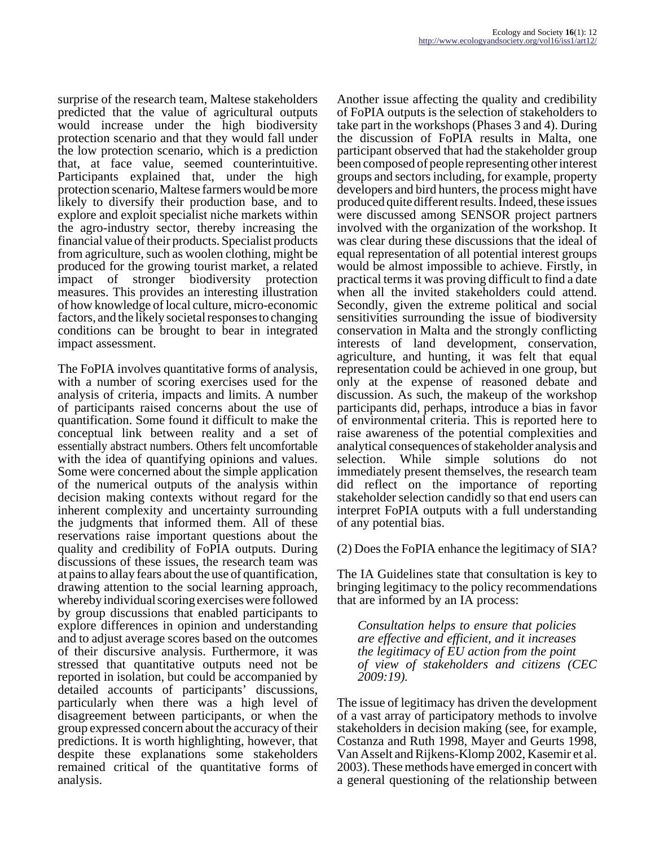surprise of the research team, Maltese stakeholders predicted that the value of agricultural outputs would increase under the high biodiversity protection scenario and that they would fall under the low protection scenario, which is a prediction that, at face value, seemed counterintuitive. Participants explained that, under the high protection scenario, Maltese farmers would be more likely to diversify their production base, and to explore and exploit specialist niche markets within the agro-industry sector, thereby increasing the financial value of their products. Specialist products from agriculture, such as woolen clothing, might be produced for the growing tourist market, a related impact of stronger biodiversity protection measures. This provides an interesting illustration of how knowledge of local culture, micro-economic factors, and the likely societal responses to changing conditions can be brought to bear in integrated impact assessment.

The FoPIA involves quantitative forms of analysis, with a number of scoring exercises used for the analysis of criteria, impacts and limits. A number of participants raised concerns about the use of quantification. Some found it difficult to make the conceptual link between reality and a set of essentially abstract numbers. Others felt uncomfortable with the idea of quantifying opinions and values. Some were concerned about the simple application of the numerical outputs of the analysis within decision making contexts without regard for the inherent complexity and uncertainty surrounding the judgments that informed them. All of these reservations raise important questions about the quality and credibility of FoPIA outputs. During discussions of these issues, the research team was at pains to allay fears about the use of quantification, drawing attention to the social learning approach, whereby individual scoring exercises were followed by group discussions that enabled participants to explore differences in opinion and understanding and to adjust average scores based on the outcomes of their discursive analysis. Furthermore, it was stressed that quantitative outputs need not be reported in isolation, but could be accompanied by detailed accounts of participants' discussions, particularly when there was a high level of disagreement between participants, or when the group expressed concern about the accuracy of their predictions. It is worth highlighting, however, that despite these explanations some stakeholders remained critical of the quantitative forms of analysis.

Another issue affecting the quality and credibility of FoPIA outputs is the selection of stakeholders to take part in the workshops (Phases 3 and 4). During the discussion of FoPIA results in Malta, one participant observed that had the stakeholder group been composed of people representing other interest groups and sectors including, for example, property developers and bird hunters, the process might have produced quite different results. Indeed, these issues were discussed among SENSOR project partners involved with the organization of the workshop. It was clear during these discussions that the ideal of equal representation of all potential interest groups would be almost impossible to achieve. Firstly, in practical terms it was proving difficult to find a date when all the invited stakeholders could attend. Secondly, given the extreme political and social sensitivities surrounding the issue of biodiversity conservation in Malta and the strongly conflicting interests of land development, conservation, agriculture, and hunting, it was felt that equal representation could be achieved in one group, but only at the expense of reasoned debate and discussion. As such, the makeup of the workshop participants did, perhaps, introduce a bias in favor of environmental criteria. This is reported here to raise awareness of the potential complexities and analytical consequences of stakeholder analysis and selection. While simple solutions do not immediately present themselves, the research team did reflect on the importance of reporting stakeholder selection candidly so that end users can interpret FoPIA outputs with a full understanding of any potential bias.

(2) Does the FoPIA enhance the legitimacy of SIA?

The IA Guidelines state that consultation is key to bringing legitimacy to the policy recommendations that are informed by an IA process:

*Consultation helps to ensure that policies are effective and efficient, and it increases the legitimacy of EU action from the point of view of stakeholders and citizens (CEC 2009:19).*

The issue of legitimacy has driven the development of a vast array of participatory methods to involve stakeholders in decision making (see, for example, Costanza and Ruth 1998, Mayer and Geurts 1998, Van Asselt and Rijkens-Klomp 2002, Kasemir et al. 2003). These methods have emerged in concert with a general questioning of the relationship between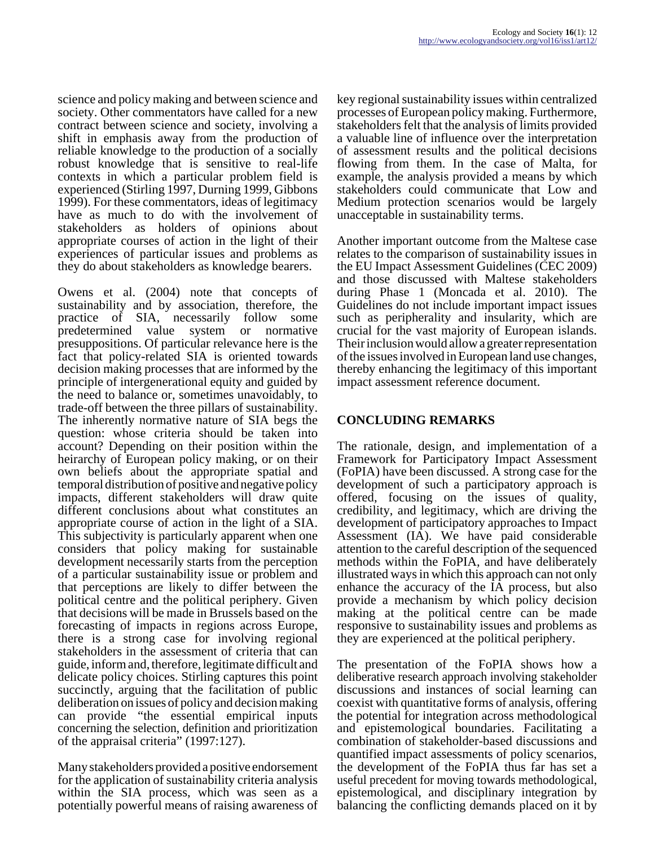science and policy making and between science and society. Other commentators have called for a new contract between science and society, involving a shift in emphasis away from the production of reliable knowledge to the production of a socially robust knowledge that is sensitive to real-life contexts in which a particular problem field is experienced (Stirling 1997, Durning 1999, Gibbons 1999). For these commentators, ideas of legitimacy have as much to do with the involvement of stakeholders as holders of opinions about appropriate courses of action in the light of their experiences of particular issues and problems as they do about stakeholders as knowledge bearers.

Owens et al. (2004) note that concepts of sustainability and by association, therefore, the practice of SIA, necessarily follow some predetermined value system or normative presuppositions. Of particular relevance here is the fact that policy-related SIA is oriented towards decision making processes that are informed by the principle of intergenerational equity and guided by the need to balance or, sometimes unavoidably, to trade-off between the three pillars of sustainability. The inherently normative nature of SIA begs the question: whose criteria should be taken into account? Depending on their position within the heirarchy of European policy making, or on their own beliefs about the appropriate spatial and temporal distribution of positive and negative policy impacts, different stakeholders will draw quite different conclusions about what constitutes an appropriate course of action in the light of a SIA. This subjectivity is particularly apparent when one considers that policy making for sustainable development necessarily starts from the perception of a particular sustainability issue or problem and that perceptions are likely to differ between the political centre and the political periphery. Given that decisions will be made in Brussels based on the forecasting of impacts in regions across Europe, there is a strong case for involving regional stakeholders in the assessment of criteria that can guide, inform and, therefore, legitimate difficult and delicate policy choices. Stirling captures this point succinctly, arguing that the facilitation of public deliberation on issues of policy and decision making can provide "the essential empirical inputs concerning the selection, definition and prioritization of the appraisal criteria" (1997:127).

Many stakeholders provided a positive endorsement for the application of sustainability criteria analysis within the SIA process, which was seen as a potentially powerful means of raising awareness of

key regional sustainability issues within centralized processes of European policy making. Furthermore, stakeholders felt that the analysis of limits provided a valuable line of influence over the interpretation of assessment results and the political decisions flowing from them. In the case of Malta, for example, the analysis provided a means by which stakeholders could communicate that Low and Medium protection scenarios would be largely unacceptable in sustainability terms.

Another important outcome from the Maltese case relates to the comparison of sustainability issues in the EU Impact Assessment Guidelines (CEC 2009) and those discussed with Maltese stakeholders during Phase 1 (Moncada et al. 2010). The Guidelines do not include important impact issues such as peripherality and insularity, which are crucial for the vast majority of European islands. Their inclusion would allow a greater representation of the issues involved in European land use changes, thereby enhancing the legitimacy of this important impact assessment reference document.

### **CONCLUDING REMARKS**

The rationale, design, and implementation of a Framework for Participatory Impact Assessment (FoPIA) have been discussed. A strong case for the development of such a participatory approach is offered, focusing on the issues of quality, credibility, and legitimacy, which are driving the development of participatory approaches to Impact Assessment (IA). We have paid considerable attention to the careful description of the sequenced methods within the FoPIA, and have deliberately illustrated ways in which this approach can not only enhance the accuracy of the IA process, but also provide a mechanism by which policy decision making at the political centre can be made responsive to sustainability issues and problems as they are experienced at the political periphery.

The presentation of the FoPIA shows how a deliberative research approach involving stakeholder discussions and instances of social learning can coexist with quantitative forms of analysis, offering the potential for integration across methodological and epistemological boundaries. Facilitating a combination of stakeholder-based discussions and quantified impact assessments of policy scenarios, the development of the FoPIA thus far has set a useful precedent for moving towards methodological, epistemological, and disciplinary integration by balancing the conflicting demands placed on it by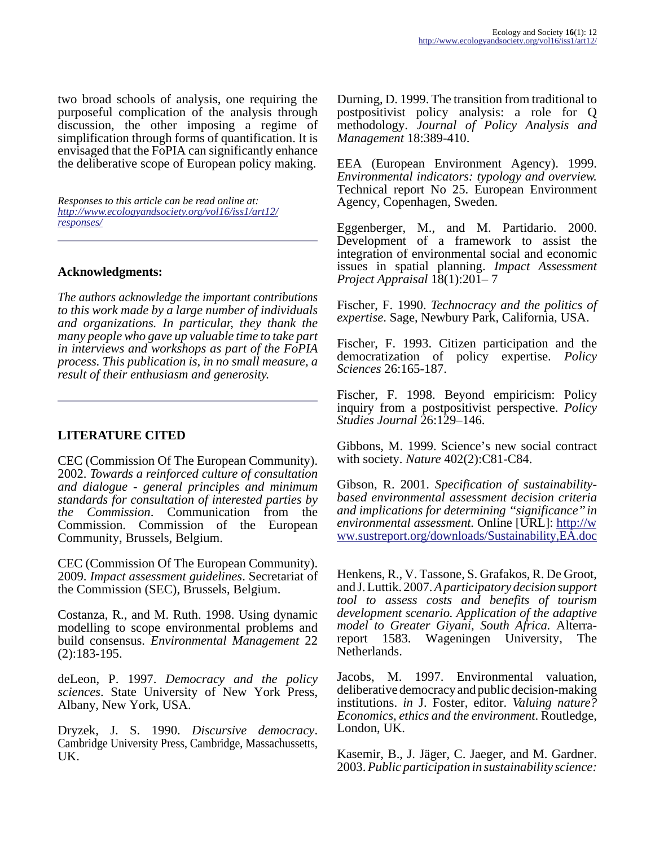two broad schools of analysis, one requiring the purposeful complication of the analysis through discussion, the other imposing a regime of simplification through forms of quantification. It is envisaged that the FoPIA can significantly enhance the deliberative scope of European policy making.

*Responses to this article can be read online at: [http://www](http://www.ecologyandsociety.org/vol16/iss1/art12/responses/).ecologyandsociety.org/vol16/iss1/art12/ responses/*

### **Acknowledgments:**

*The authors acknowledge the important contributions to this work made by a large number of individuals and organizations. In particular, they thank the many people who gave up valuable time to take part in interviews and workshops as part of the FoPIA process. This publication is, in no small measure, a result of their enthusiasm and generosity.*

### **LITERATURE CITED**

CEC (Commission Of The European Community). 2002. *Towards a reinforced culture of consultation and dialogue - general principles and minimum standards for consultation of interested parties by the Commission*. Communication from the Commission. Commission of the European Community, Brussels, Belgium.

CEC (Commission Of The European Community). 2009. *Impact assessment guidelines*. Secretariat of the Commission (SEC), Brussels, Belgium.

Costanza, R., and M. Ruth. 1998. Using dynamic modelling to scope environmental problems and build consensus. *Environmental Management* 22 (2):183-195.

deLeon, P. 1997. *Democracy and the policy sciences*. State University of New York Press, Albany, New York, USA.

Dryzek, J. S. 1990. *Discursive democracy*. Cambridge University Press, Cambridge, Massachussetts, UK.

Durning, D. 1999. The transition from traditional to postpositivist policy analysis: a role for Q methodology. *Journal of Policy Analysis and Management* 18:389-410.

EEA (European Environment Agency). 1999. *Environmental indicators: typology and overview.* Technical report No 25. European Environment Agency, Copenhagen, Sweden.

Eggenberger, M., and M. Partidario. 2000. Development of a framework to assist the integration of environmental social and economic issues in spatial planning. *Impact Assessment Project Appraisal* 18(1):201– 7

Fischer, F. 1990. *Technocracy and the politics of expertise*. Sage, Newbury Park, California, USA.

Fischer, F. 1993. Citizen participation and the democratization of policy expertise. *Policy Sciences* 26:165-187.

Fischer, F. 1998. Beyond empiricism: Policy inquiry from a postpositivist perspective. *Policy Studies Journal* 26:129–146.

Gibbons, M. 1999. Science's new social contract with society. *Nature* 402(2):C81-C84.

Gibson, R. 2001. *Specification of sustainabilitybased environmental assessment decision criteria and implications for determining ''significance'' in environmental assessment.* Online [URL]: [http://w](http://www.sustreport.org/downloads/Sustainability,EA.doc) [ww.sustreport.org/downloads/Sustainability,EA.doc](http://www.sustreport.org/downloads/Sustainability,EA.doc)

Henkens, R., V. Tassone, S. Grafakos, R. De Groot, and J. Luttik. 2007. *A participatory decision support tool to assess costs and benefits of tourism development scenario. Application of the adaptive model to Greater Giyani, South Africa.* Alterrareport 1583. Wageningen University, The Netherlands.

Jacobs, M. 1997. Environmental valuation, deliberative democracy and public decision-making institutions. *in* J. Foster, editor. *Valuing nature? Economics, ethics and the environment*. Routledge, London, UK.

Kasemir, B., J. Jäger, C. Jaeger, and M. Gardner. 2003. *Public participation in sustainability science:*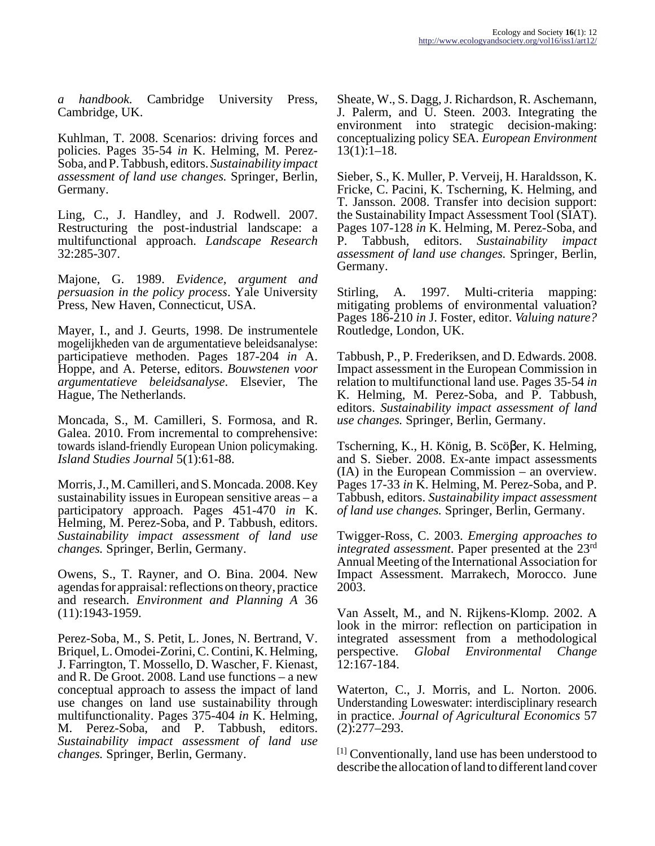*a handbook.* Cambridge University Press, Cambridge, UK.

Kuhlman, T. 2008. Scenarios: driving forces and policies. Pages 35-54 *in* K. Helming, M. Perez-Soba, and P. Tabbush, editors. *Sustainability impact assessment of land use changes.* Springer, Berlin, Germany.

Ling, C., J. Handley, and J. Rodwell. 2007. Restructuring the post-industrial landscape: a multifunctional approach. *Landscape Research* 32:285-307.

Majone, G. 1989. *Evidence, argument and persuasion in the policy process*. Yale University Press, New Haven, Connecticut, USA.

Mayer, I., and J. Geurts, 1998. De instrumentele mogelijkheden van de argumentatieve beleidsanalyse: participatieve methoden. Pages 187-204 *in* A. Hoppe, and A. Peterse, editors. *Bouwstenen voor argumentatieve beleidsanalyse*. Elsevier, The Hague, The Netherlands.

Moncada, S., M. Camilleri, S. Formosa, and R. Galea. 2010. From incremental to comprehensive: towards island-friendly European Union policymaking. *Island Studies Journal* 5(1):61-88.

Morris, J., M. Camilleri, and S. Moncada. 2008. Key sustainability issues in European sensitive areas – a participatory approach. Pages 451-470 *in* K. Helming, M. Perez-Soba, and P. Tabbush, editors. *Sustainability impact assessment of land use changes.* Springer, Berlin, Germany.

Owens, S., T. Rayner, and O. Bina. 2004. New agendas for appraisal: reflections on theory, practice and research. *Environment and Planning A* 36 (11):1943-1959.

Perez-Soba, M., S. Petit, L. Jones, N. Bertrand, V. Briquel, L. Omodei-Zorini, C. Contini, K. Helming, J. Farrington, T. Mossello, D. Wascher, F. Kienast, and R. De Groot. 2008. Land use functions – a new conceptual approach to assess the impact of land use changes on land use sustainability through multifunctionality. Pages 375-404 *in* K. Helming, M. Perez-Soba, and P. Tabbush, editors. *Sustainability impact assessment of land use changes.* Springer, Berlin, Germany.

Sheate, W., S. Dagg, J. Richardson, R. Aschemann, J. Palerm, and U. Steen. 2003. Integrating the environment into strategic decision-making: conceptualizing policy SEA. *European Environment*  $13(1):1-18.$ 

Sieber, S., K. Muller, P. Verveij, H. Haraldsson, K. Fricke, C. Pacini, K. Tscherning, K. Helming, and T. Jansson. 2008. Transfer into decision support: the Sustainability Impact Assessment Tool (SIAT). Pages 107-128 *in* K. Helming, M. Perez-Soba, and P. Tabbush, editors. *Sustainability impact assessment of land use changes.* Springer, Berlin, Germany.

Stirling, A. 1997. Multi-criteria mapping: mitigating problems of environmental valuation? Pages 186-210 *in* J. Foster, editor. *Valuing nature?* Routledge, London, UK.

Tabbush, P., P. Frederiksen, and D. Edwards. 2008. Impact assessment in the European Commission in relation to multifunctional land use. Pages 35-54 *in* K. Helming, M. Perez-Soba, and P. Tabbush, editors. *Sustainability impact assessment of land use changes.* Springer, Berlin, Germany.

Tscherning, K., H. König, B. Scöβer, K. Helming, and S. Sieber. 2008. Ex-ante impact assessments (IA) in the European Commission – an overview. Pages 17-33 *in* K. Helming, M. Perez-Soba, and P. Tabbush, editors. *Sustainability impact assessment of land use changes.* Springer, Berlin, Germany.

Twigger-Ross, C. 2003. *Emerging approaches to integrated assessment*. Paper presented at the 23rd Annual Meeting of the International Association for Impact Assessment. Marrakech, Morocco. June 2003.

Van Asselt, M., and N. Rijkens-Klomp. 2002. A look in the mirror: reflection on participation in integrated assessment from a methodological perspective. *Global Environmental Change* 12:167-184.

Waterton, C., J. Morris, and L. Norton. 2006. Understanding Loweswater: interdisciplinary research in practice. *Journal of Agricultural Economics* 57 (2):277–293.

[1] Conventionally, land use has been understood to describe the allocation of land to different land cover